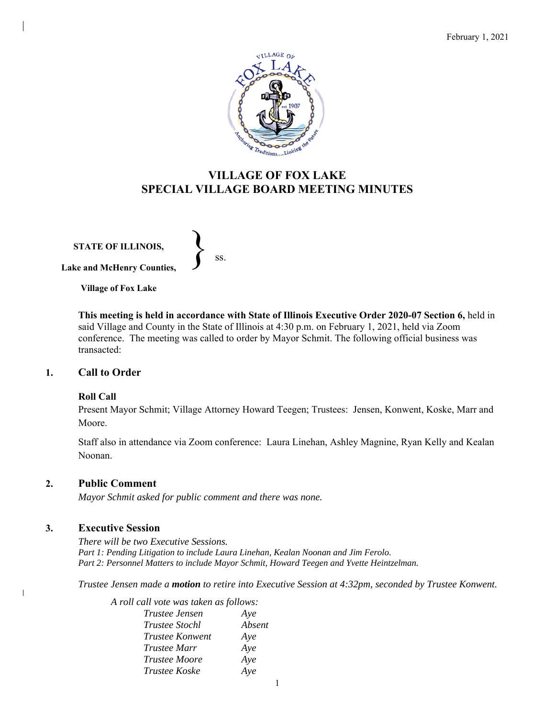

# **VILLAGE OF FOX LAKE SPECIAL VILLAGE BOARD MEETING MINUTES**

**STATE OF ILLINOIS, Lake and McHenry Counties,**   $\left\{\right\}$  ss.

**Village of Fox Lake**

**This meeting is held in accordance with State of Illinois Executive Order 2020-07 Section 6,** held in said Village and County in the State of Illinois at 4:30 p.m. on February 1, 2021, held via Zoom conference. The meeting was called to order by Mayor Schmit. The following official business was transacted:

### **1. Call to Order**

#### **Roll Call**

Present Mayor Schmit; Village Attorney Howard Teegen; Trustees: Jensen, Konwent, Koske, Marr and Moore.

Staff also in attendance via Zoom conference: Laura Linehan, Ashley Magnine, Ryan Kelly and Kealan Noonan.

### **2. Public Comment**

*Mayor Schmit asked for public comment and there was none.* 

### **3. Executive Session**

 $\mathbf{I}$ 

*There will be two Executive Sessions. Part 1: Pending Litigation to include Laura Linehan, Kealan Noonan and Jim Ferolo. Part 2: Personnel Matters to include Mayor Schmit, Howard Teegen and Yvette Heintzelman.* 

*Trustee Jensen made a motion to retire into Executive Session at 4:32pm, seconded by Trustee Konwent.* 

| A roll call vote was taken as follows: |        |
|----------------------------------------|--------|
| <i>Trustee Jensen</i>                  | Aye    |
| <i>Trustee Stochl</i>                  | Absent |
| Trustee Konwent                        | Aye    |
| <i>Trustee Marr</i>                    | Aye    |
| <i>Trustee Moore</i>                   | Aye    |
| Trustee Koske                          | Aye    |